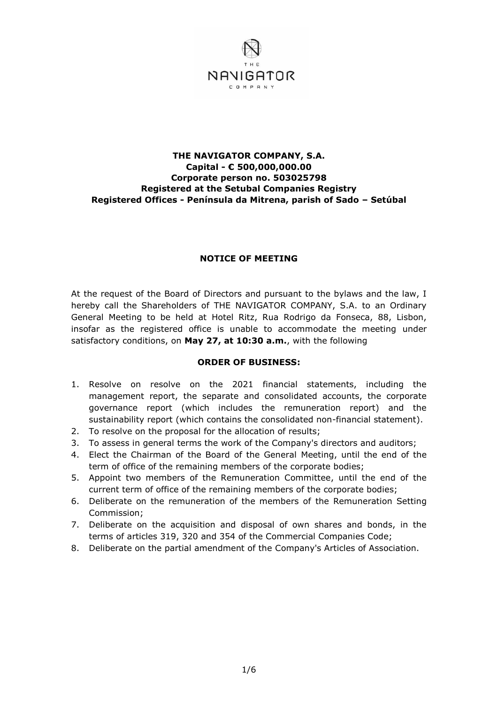

### **THE NAVIGATOR COMPANY, S.A. Capital - € 500,000,000.00 Corporate person no. 503025798 Registered at the Setubal Companies Registry Registered Offices - Península da Mitrena, parish of Sado – Setúbal**

### **NOTICE OF MEETING**

At the request of the Board of Directors and pursuant to the bylaws and the law, I hereby call the Shareholders of THE NAVIGATOR COMPANY, S.A. to an Ordinary General Meeting to be held at Hotel Ritz, Rua Rodrigo da Fonseca, 88, Lisbon, insofar as the registered office is unable to accommodate the meeting under satisfactory conditions, on **May 27, at 10:30 a.m.**, with the following

#### **ORDER OF BUSINESS:**

- 1. Resolve on resolve on the 2021 financial statements, including the management report, the separate and consolidated accounts, the corporate governance report (which includes the remuneration report) and the sustainability report (which contains the consolidated non-financial statement).
- 2. To resolve on the proposal for the allocation of results;
- 3. To assess in general terms the work of the Company's directors and auditors;
- 4. Elect the Chairman of the Board of the General Meeting, until the end of the term of office of the remaining members of the corporate bodies;
- 5. Appoint two members of the Remuneration Committee, until the end of the current term of office of the remaining members of the corporate bodies;
- 6. Deliberate on the remuneration of the members of the Remuneration Setting Commission;
- 7. Deliberate on the acquisition and disposal of own shares and bonds, in the terms of articles 319, 320 and 354 of the Commercial Companies Code;
- 8. Deliberate on the partial amendment of the Company's Articles of Association.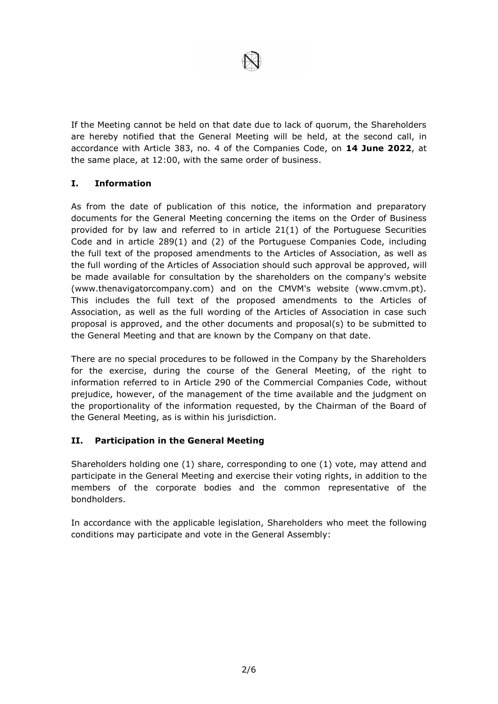

If the Meeting cannot be held on that date due to lack of quorum, the Shareholders are hereby notified that the General Meeting will be held, at the second call, in accordance with Article 383, no. 4 of the Companies Code, on **14 June 2022**, at the same place, at 12:00, with the same order of business.

# **I. Information**

As from the date of publication of this notice, the information and preparatory documents for the General Meeting concerning the items on the Order of Business provided for by law and referred to in article 21(1) of the Portuguese Securities Code and in article 289(1) and (2) of the Portuguese Companies Code, including the full text of the proposed amendments to the Articles of Association, as well as the full wording of the Articles of Association should such approval be approved, will be made available for consultation by the shareholders on the company's website (www.thenavigatorcompany.com) and on the CMVM's website (www.cmvm.pt). This includes the full text of the proposed amendments to the Articles of Association, as well as the full wording of the Articles of Association in case such proposal is approved, and the other documents and proposal(s) to be submitted to the General Meeting and that are known by the Company on that date.

There are no special procedures to be followed in the Company by the Shareholders for the exercise, during the course of the General Meeting, of the right to information referred to in Article 290 of the Commercial Companies Code, without prejudice, however, of the management of the time available and the judgment on the proportionality of the information requested, by the Chairman of the Board of the General Meeting, as is within his jurisdiction.

## **II. Participation in the General Meeting**

Shareholders holding one (1) share, corresponding to one (1) vote, may attend and participate in the General Meeting and exercise their voting rights, in addition to the members of the corporate bodies and the common representative of the bondholders.

In accordance with the applicable legislation, Shareholders who meet the following conditions may participate and vote in the General Assembly: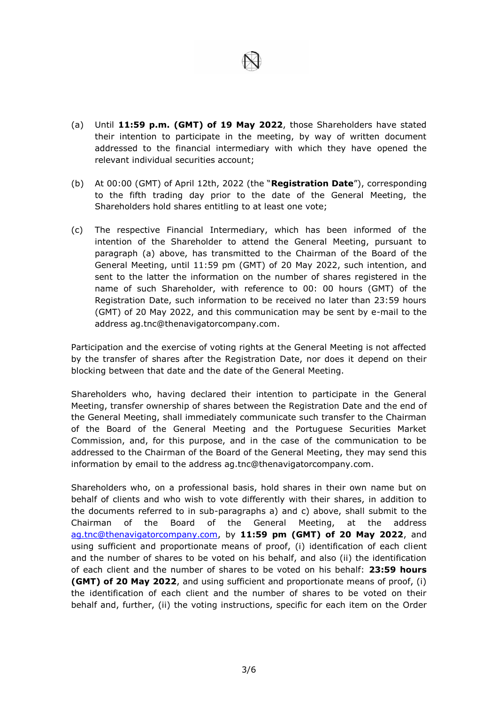

- (a) Until **11:59 p.m. (GMT) of 19 May 2022**, those Shareholders have stated their intention to participate in the meeting, by way of written document addressed to the financial intermediary with which they have opened the relevant individual securities account;
- (b) At 00:00 (GMT) of April 12th, 2022 (the "**Registration Date**"), corresponding to the fifth trading day prior to the date of the General Meeting, the Shareholders hold shares entitling to at least one vote;
- (c) The respective Financial Intermediary, which has been informed of the intention of the Shareholder to attend the General Meeting, pursuant to paragraph (a) above, has transmitted to the Chairman of the Board of the General Meeting, until 11:59 pm (GMT) of 20 May 2022, such intention, and sent to the latter the information on the number of shares registered in the name of such Shareholder, with reference to 00: 00 hours (GMT) of the Registration Date, such information to be received no later than 23:59 hours (GMT) of 20 May 2022, and this communication may be sent by e-mail to the address ag.tnc@thenavigatorcompany.com.

Participation and the exercise of voting rights at the General Meeting is not affected by the transfer of shares after the Registration Date, nor does it depend on their blocking between that date and the date of the General Meeting.

Shareholders who, having declared their intention to participate in the General Meeting, transfer ownership of shares between the Registration Date and the end of the General Meeting, shall immediately communicate such transfer to the Chairman of the Board of the General Meeting and the Portuguese Securities Market Commission, and, for this purpose, and in the case of the communication to be addressed to the Chairman of the Board of the General Meeting, they may send this information by email to the address ag.tnc@thenavigatorcompany.com.

Shareholders who, on a professional basis, hold shares in their own name but on behalf of clients and who wish to vote differently with their shares, in addition to the documents referred to in sub-paragraphs a) and c) above, shall submit to the Chairman of the Board of the General Meeting, at the address [ag.tnc@thenavigatorcompany.com,](mailto:ag.tnc@thenavigatorcompany.com) by **11:59 pm (GMT) of 20 May 2022**, and using sufficient and proportionate means of proof, (i) identification of each client and the number of shares to be voted on his behalf, and also (ii) the identification of each client and the number of shares to be voted on his behalf: **23:59 hours (GMT) of 20 May 2022**, and using sufficient and proportionate means of proof, (i) the identification of each client and the number of shares to be voted on their behalf and, further, (ii) the voting instructions, specific for each item on the Order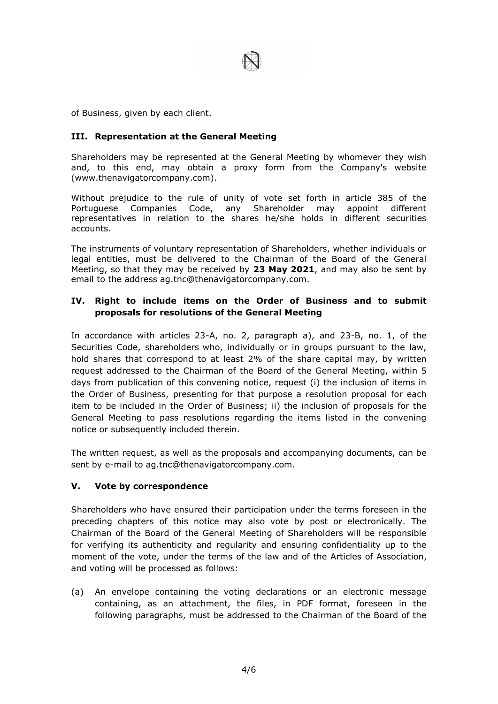

of Business, given by each client.

### **III. Representation at the General Meeting**

Shareholders may be represented at the General Meeting by whomever they wish and, to this end, may obtain a proxy form from the Company's website (www.thenavigatorcompany.com).

Without prejudice to the rule of unity of vote set forth in article 385 of the Portuguese Companies Code, any Shareholder may appoint different representatives in relation to the shares he/she holds in different securities accounts.

The instruments of voluntary representation of Shareholders, whether individuals or legal entities, must be delivered to the Chairman of the Board of the General Meeting, so that they may be received by **23 May 2021**, and may also be sent by email to the address ag.tnc@thenavigatorcompany.com.

## **IV. Right to include items on the Order of Business and to submit proposals for resolutions of the General Meeting**

In accordance with articles 23-A, no. 2, paragraph a), and 23-B, no. 1, of the Securities Code, shareholders who, individually or in groups pursuant to the law, hold shares that correspond to at least 2% of the share capital may, by written request addressed to the Chairman of the Board of the General Meeting, within 5 days from publication of this convening notice, request (i) the inclusion of items in the Order of Business, presenting for that purpose a resolution proposal for each item to be included in the Order of Business; ii) the inclusion of proposals for the General Meeting to pass resolutions regarding the items listed in the convening notice or subsequently included therein.

The written request, as well as the proposals and accompanying documents, can be sent by e-mail to ag.tnc@thenavigatorcompany.com.

#### **V. Vote by correspondence**

Shareholders who have ensured their participation under the terms foreseen in the preceding chapters of this notice may also vote by post or electronically. The Chairman of the Board of the General Meeting of Shareholders will be responsible for verifying its authenticity and regularity and ensuring confidentiality up to the moment of the vote, under the terms of the law and of the Articles of Association, and voting will be processed as follows:

(a) An envelope containing the voting declarations or an electronic message containing, as an attachment, the files, in PDF format, foreseen in the following paragraphs, must be addressed to the Chairman of the Board of the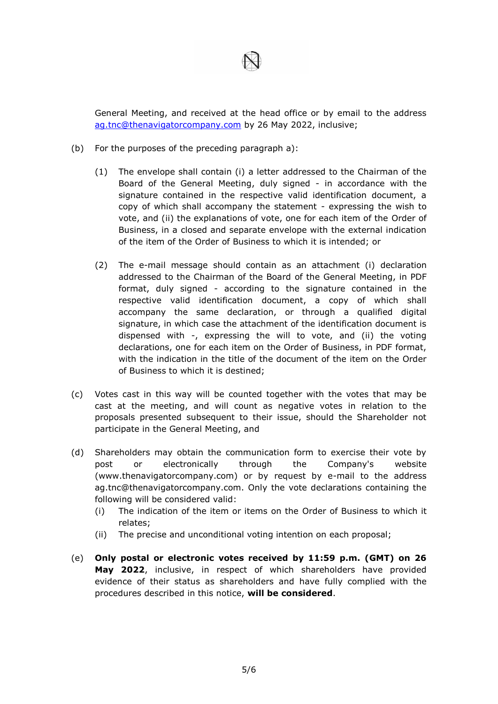General Meeting, and received at the head office or by email to the address [ag.tnc@thenavigatorcompany.com](mailto:ag.tnc@thenavigatorcompany.com) by 26 May 2022, inclusive;

- (b) For the purposes of the preceding paragraph a):
	- (1) The envelope shall contain (i) a letter addressed to the Chairman of the Board of the General Meeting, duly signed - in accordance with the signature contained in the respective valid identification document, a copy of which shall accompany the statement - expressing the wish to vote, and (ii) the explanations of vote, one for each item of the Order of Business, in a closed and separate envelope with the external indication of the item of the Order of Business to which it is intended; or
	- (2) The e-mail message should contain as an attachment (i) declaration addressed to the Chairman of the Board of the General Meeting, in PDF format, duly signed - according to the signature contained in the respective valid identification document, a copy of which shall accompany the same declaration, or through a qualified digital signature, in which case the attachment of the identification document is dispensed with -, expressing the will to vote, and (ii) the voting declarations, one for each item on the Order of Business, in PDF format, with the indication in the title of the document of the item on the Order of Business to which it is destined;
- (c) Votes cast in this way will be counted together with the votes that may be cast at the meeting, and will count as negative votes in relation to the proposals presented subsequent to their issue, should the Shareholder not participate in the General Meeting, and
- (d) Shareholders may obtain the communication form to exercise their vote by post or electronically through the Company's website (www.thenavigatorcompany.com) or by request by e-mail to the address ag.tnc@thenavigatorcompany.com. Only the vote declarations containing the following will be considered valid:
	- (i) The indication of the item or items on the Order of Business to which it relates;
	- (ii) The precise and unconditional voting intention on each proposal;
- (e) **Only postal or electronic votes received by 11:59 p.m. (GMT) on 26 May 2022**, inclusive, in respect of which shareholders have provided evidence of their status as shareholders and have fully complied with the procedures described in this notice, **will be considered**.